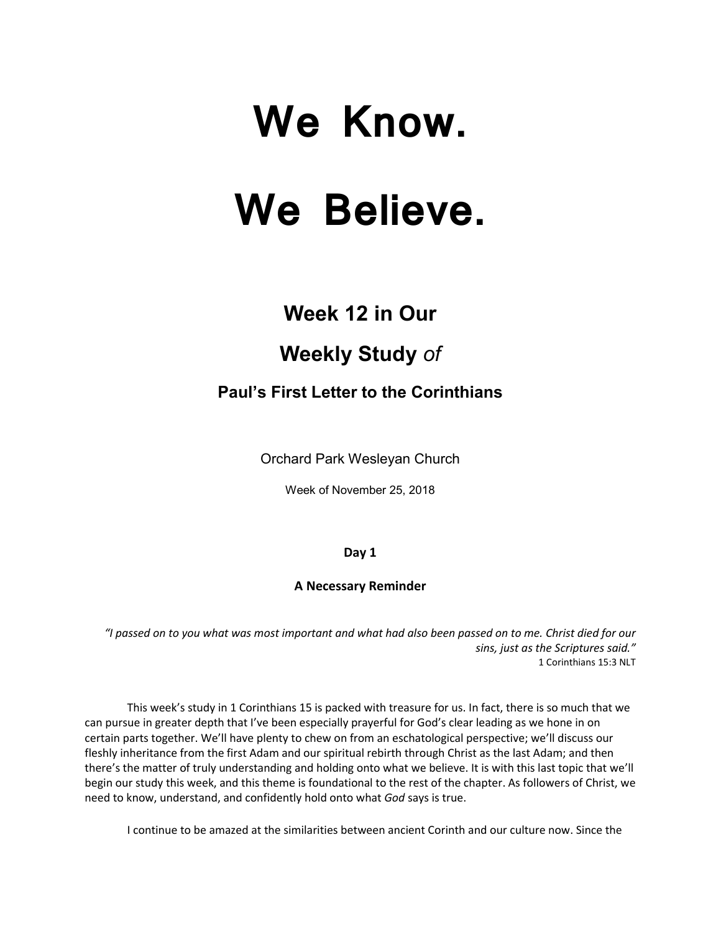# **We Know. We Believe.**

## **Week 12 in Our**

## **Weekly Study** *of*

### **Paul's First Letter to the Corinthians**

Orchard Park Wesleyan Church

Week of November 25, 2018

#### **Day 1**

#### **A Necessary Reminder**

*"I passed on to you what was most important and what had also been passed on to me. Christ died for our sins, just as the Scriptures said."* 1 Corinthians 15:3 NLT

This week's study in 1 Corinthians 15 is packed with treasure for us. In fact, there is so much that we can pursue in greater depth that I've been especially prayerful for God's clear leading as we hone in on certain parts together. We'll have plenty to chew on from an eschatological perspective; we'll discuss our fleshly inheritance from the first Adam and our spiritual rebirth through Christ as the last Adam; and then there's the matter of truly understanding and holding onto what we believe. It is with this last topic that we'll begin our study this week, and this theme is foundational to the rest of the chapter. As followers of Christ, we need to know, understand, and confidently hold onto what *God* says is true.

I continue to be amazed at the similarities between ancient Corinth and our culture now. Since the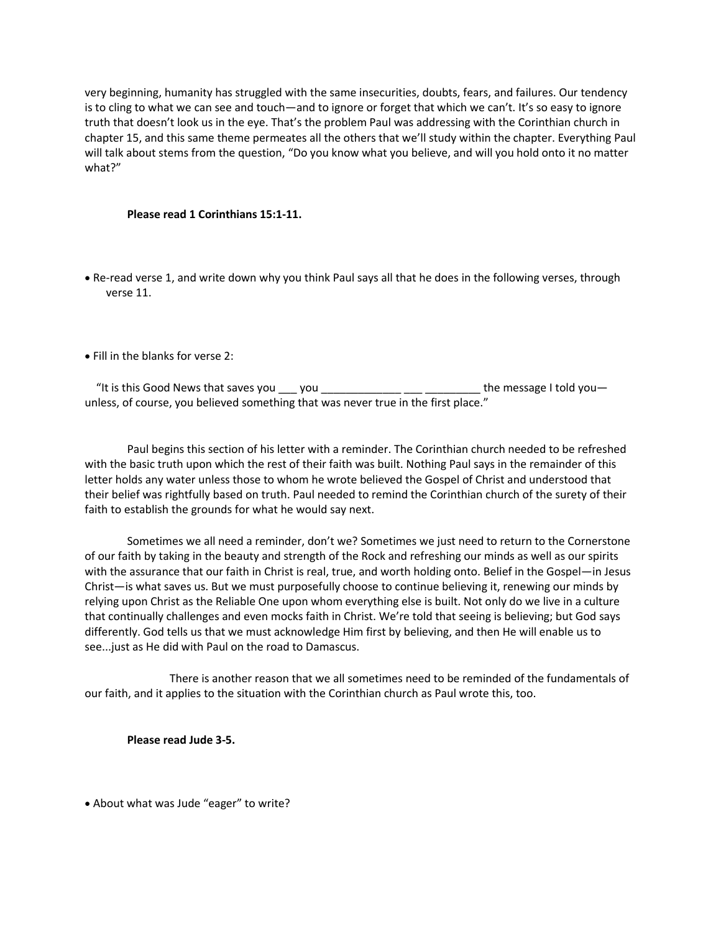very beginning, humanity has struggled with the same insecurities, doubts, fears, and failures. Our tendency is to cling to what we can see and touch—and to ignore or forget that which we can't. It's so easy to ignore truth that doesn't look us in the eye. That's the problem Paul was addressing with the Corinthian church in chapter 15, and this same theme permeates all the others that we'll study within the chapter. Everything Paul will talk about stems from the question, "Do you know what you believe, and will you hold onto it no matter what?"

#### **Please read 1 Corinthians 15:1-11.**

- Re-read verse 1, and write down why you think Paul says all that he does in the following verses, through verse 11.
- Fill in the blanks for verse 2:

"It is this Good News that saves you  $\_\_\_$  you  $\_\_\_\_\_\_\_\_\_\_\_\_\_\_\_\_\_\_\_\$ the message I told you unless, of course, you believed something that was never true in the first place."

 Paul begins this section of his letter with a reminder. The Corinthian church needed to be refreshed with the basic truth upon which the rest of their faith was built. Nothing Paul says in the remainder of this letter holds any water unless those to whom he wrote believed the Gospel of Christ and understood that their belief was rightfully based on truth. Paul needed to remind the Corinthian church of the surety of their faith to establish the grounds for what he would say next.

Sometimes we all need a reminder, don't we? Sometimes we just need to return to the Cornerstone of our faith by taking in the beauty and strength of the Rock and refreshing our minds as well as our spirits with the assurance that our faith in Christ is real, true, and worth holding onto. Belief in the Gospel—in Jesus Christ—is what saves us. But we must purposefully choose to continue believing it, renewing our minds by relying upon Christ as the Reliable One upon whom everything else is built. Not only do we live in a culture that continually challenges and even mocks faith in Christ. We're told that seeing is believing; but God says differently. God tells us that we must acknowledge Him first by believing, and then He will enable us to see...just as He did with Paul on the road to Damascus.

There is another reason that we all sometimes need to be reminded of the fundamentals of our faith, and it applies to the situation with the Corinthian church as Paul wrote this, too.

**Please read Jude 3-5.**

• About what was Jude "eager" to write?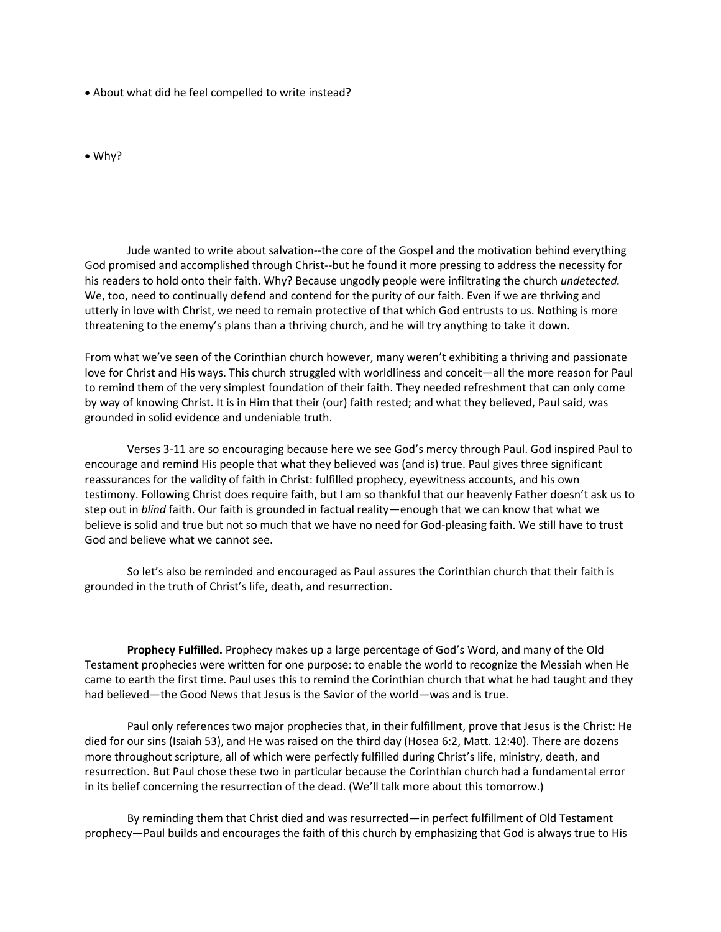- About what did he feel compelled to write instead?
- Why?

Jude wanted to write about salvation--the core of the Gospel and the motivation behind everything God promised and accomplished through Christ--but he found it more pressing to address the necessity for his readers to hold onto their faith. Why? Because ungodly people were infiltrating the church *undetected.* We, too, need to continually defend and contend for the purity of our faith. Even if we are thriving and utterly in love with Christ, we need to remain protective of that which God entrusts to us. Nothing is more threatening to the enemy's plans than a thriving church, and he will try anything to take it down.

From what we've seen of the Corinthian church however, many weren't exhibiting a thriving and passionate love for Christ and His ways. This church struggled with worldliness and conceit—all the more reason for Paul to remind them of the very simplest foundation of their faith. They needed refreshment that can only come by way of knowing Christ. It is in Him that their (our) faith rested; and what they believed, Paul said, was grounded in solid evidence and undeniable truth.

Verses 3-11 are so encouraging because here we see God's mercy through Paul. God inspired Paul to encourage and remind His people that what they believed was (and is) true. Paul gives three significant reassurances for the validity of faith in Christ: fulfilled prophecy, eyewitness accounts, and his own testimony. Following Christ does require faith, but I am so thankful that our heavenly Father doesn't ask us to step out in *blind* faith. Our faith is grounded in factual reality—enough that we can know that what we believe is solid and true but not so much that we have no need for God-pleasing faith. We still have to trust God and believe what we cannot see.

So let's also be reminded and encouraged as Paul assures the Corinthian church that their faith is grounded in the truth of Christ's life, death, and resurrection.

**Prophecy Fulfilled.** Prophecy makes up a large percentage of God's Word, and many of the Old Testament prophecies were written for one purpose: to enable the world to recognize the Messiah when He came to earth the first time. Paul uses this to remind the Corinthian church that what he had taught and they had believed—the Good News that Jesus is the Savior of the world—was and is true.

Paul only references two major prophecies that, in their fulfillment, prove that Jesus is the Christ: He died for our sins (Isaiah 53), and He was raised on the third day (Hosea 6:2, Matt. 12:40). There are dozens more throughout scripture, all of which were perfectly fulfilled during Christ's life, ministry, death, and resurrection. But Paul chose these two in particular because the Corinthian church had a fundamental error in its belief concerning the resurrection of the dead. (We'll talk more about this tomorrow.)

By reminding them that Christ died and was resurrected—in perfect fulfillment of Old Testament prophecy—Paul builds and encourages the faith of this church by emphasizing that God is always true to His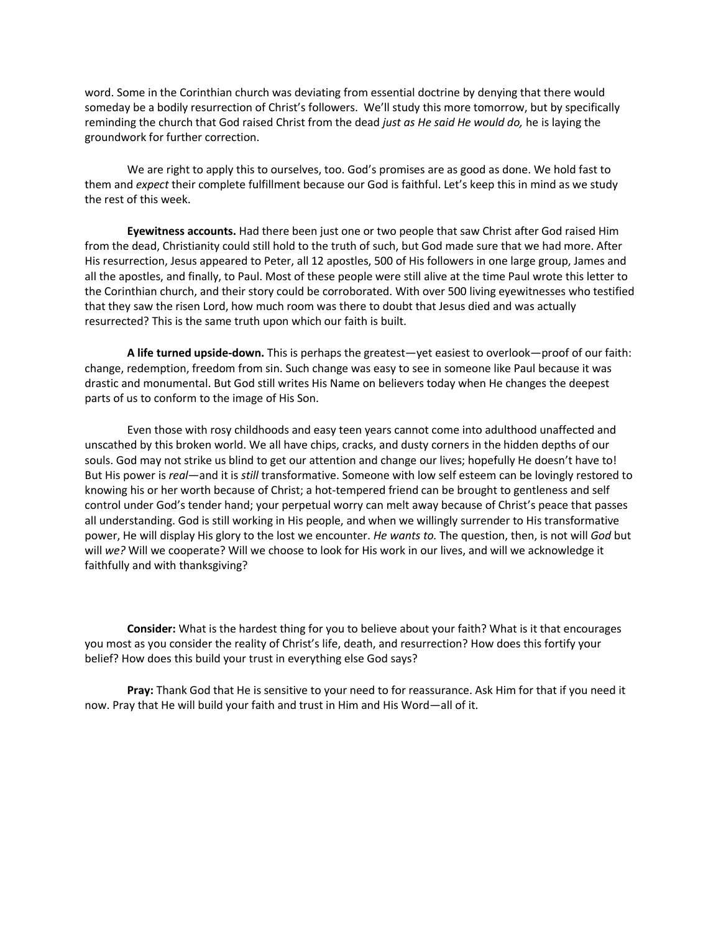word. Some in the Corinthian church was deviating from essential doctrine by denying that there would someday be a bodily resurrection of Christ's followers. We'll study this more tomorrow, but by specifically reminding the church that God raised Christ from the dead *just as He said He would do,* he is laying the groundwork for further correction.

We are right to apply this to ourselves, too. God's promises are as good as done. We hold fast to them and *expect* their complete fulfillment because our God is faithful. Let's keep this in mind as we study the rest of this week.

**Eyewitness accounts.** Had there been just one or two people that saw Christ after God raised Him from the dead, Christianity could still hold to the truth of such, but God made sure that we had more. After His resurrection, Jesus appeared to Peter, all 12 apostles, 500 of His followers in one large group, James and all the apostles, and finally, to Paul. Most of these people were still alive at the time Paul wrote this letter to the Corinthian church, and their story could be corroborated. With over 500 living eyewitnesses who testified that they saw the risen Lord, how much room was there to doubt that Jesus died and was actually resurrected? This is the same truth upon which our faith is built.

**A life turned upside-down.** This is perhaps the greatest—yet easiest to overlook—proof of our faith: change, redemption, freedom from sin. Such change was easy to see in someone like Paul because it was drastic and monumental. But God still writes His Name on believers today when He changes the deepest parts of us to conform to the image of His Son.

Even those with rosy childhoods and easy teen years cannot come into adulthood unaffected and unscathed by this broken world. We all have chips, cracks, and dusty corners in the hidden depths of our souls. God may not strike us blind to get our attention and change our lives; hopefully He doesn't have to! But His power is *real*—and it is *still* transformative. Someone with low self esteem can be lovingly restored to knowing his or her worth because of Christ; a hot-tempered friend can be brought to gentleness and self control under God's tender hand; your perpetual worry can melt away because of Christ's peace that passes all understanding. God is still working in His people, and when we willingly surrender to His transformative power, He will display His glory to the lost we encounter. *He wants to.* The question, then, is not will *God* but will *we?* Will we cooperate? Will we choose to look for His work in our lives, and will we acknowledge it faithfully and with thanksgiving?

**Consider:** What is the hardest thing for you to believe about your faith? What is it that encourages you most as you consider the reality of Christ's life, death, and resurrection? How does this fortify your belief? How does this build your trust in everything else God says?

**Pray:** Thank God that He is sensitive to your need to for reassurance. Ask Him for that if you need it now. Pray that He will build your faith and trust in Him and His Word—all of it.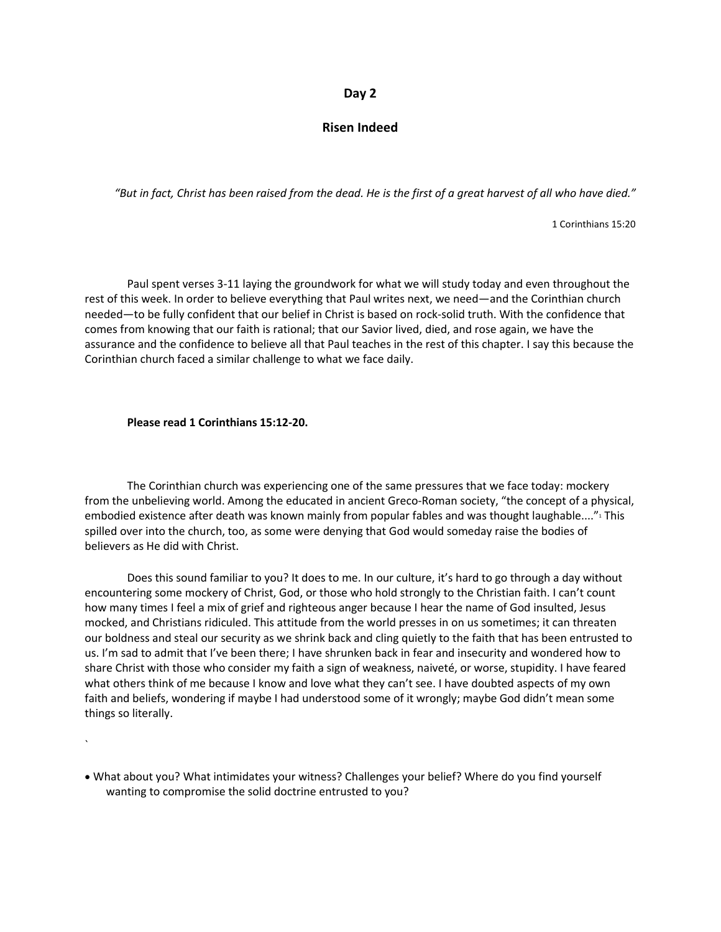#### **Day 2**

#### **Risen Indeed**

*"But in fact, Christ has been raised from the dead. He is the first of a great harvest of all who have died."*

1 Corinthians 15:20

Paul spent verses 3-11 laying the groundwork for what we will study today and even throughout the rest of this week. In order to believe everything that Paul writes next, we need—and the Corinthian church needed—to be fully confident that our belief in Christ is based on rock-solid truth. With the confidence that comes from knowing that our faith is rational; that our Savior lived, died, and rose again, we have the assurance and the confidence to believe all that Paul teaches in the rest of this chapter. I say this because the Corinthian church faced a similar challenge to what we face daily.

#### **Please read 1 Corinthians 15:12-20.**

The Corinthian church was experiencing one of the same pressures that we face today: mockery from the unbelieving world. Among the educated in ancient Greco-Roman society, "the concept of a physical, embodied existence after death was known mainly from popular fables and was thought laughable...."<sup>1</sup> This spilled over into the church, too, as some were denying that God would someday raise the bodies of believers as He did with Christ.

Does this sound familiar to you? It does to me. In our culture, it's hard to go through a day without encountering some mockery of Christ, God, or those who hold strongly to the Christian faith. I can't count how many times I feel a mix of grief and righteous anger because I hear the name of God insulted, Jesus mocked, and Christians ridiculed. This attitude from the world presses in on us sometimes; it can threaten our boldness and steal our security as we shrink back and cling quietly to the faith that has been entrusted to us. I'm sad to admit that I've been there; I have shrunken back in fear and insecurity and wondered how to share Christ with those who consider my faith a sign of weakness, naiveté, or worse, stupidity. I have feared what others think of me because I know and love what they can't see. I have doubted aspects of my own faith and beliefs, wondering if maybe I had understood some of it wrongly; maybe God didn't mean some things so literally.

• What about you? What intimidates your witness? Challenges your belief? Where do you find yourself wanting to compromise the solid doctrine entrusted to you?

<sup>`</sup>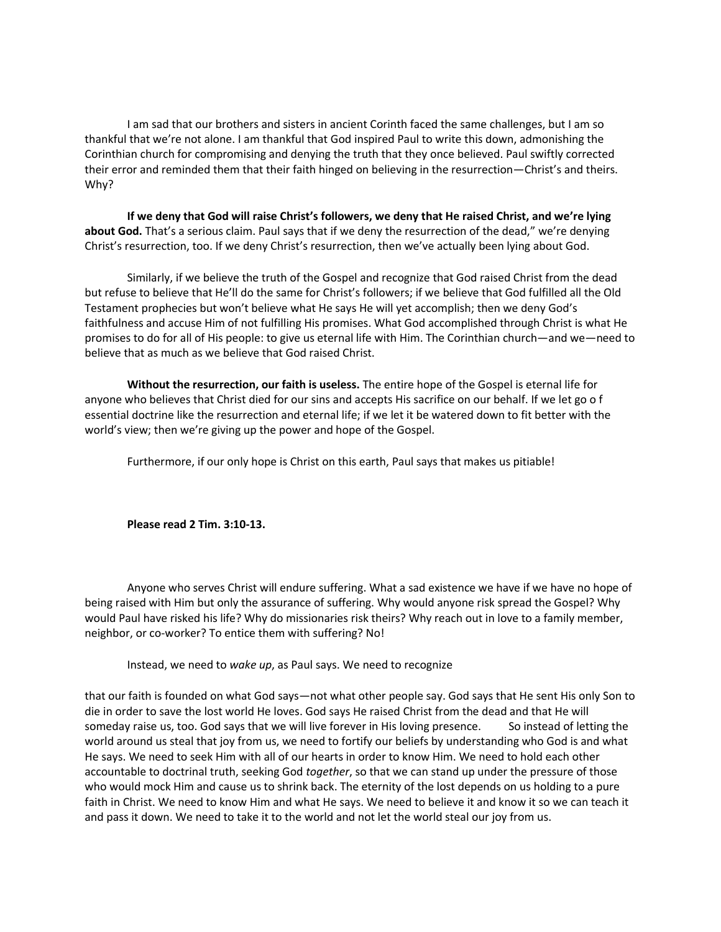I am sad that our brothers and sisters in ancient Corinth faced the same challenges, but I am so thankful that we're not alone. I am thankful that God inspired Paul to write this down, admonishing the Corinthian church for compromising and denying the truth that they once believed. Paul swiftly corrected their error and reminded them that their faith hinged on believing in the resurrection—Christ's and theirs. Why?

**If we deny that God will raise Christ's followers, we deny that He raised Christ, and we're lying about God.** That's a serious claim. Paul says that if we deny the resurrection of the dead," we're denying Christ's resurrection, too. If we deny Christ's resurrection, then we've actually been lying about God.

Similarly, if we believe the truth of the Gospel and recognize that God raised Christ from the dead but refuse to believe that He'll do the same for Christ's followers; if we believe that God fulfilled all the Old Testament prophecies but won't believe what He says He will yet accomplish; then we deny God's faithfulness and accuse Him of not fulfilling His promises. What God accomplished through Christ is what He promises to do for all of His people: to give us eternal life with Him. The Corinthian church—and we—need to believe that as much as we believe that God raised Christ.

**Without the resurrection, our faith is useless.** The entire hope of the Gospel is eternal life for anyone who believes that Christ died for our sins and accepts His sacrifice on our behalf. If we let go of essential doctrine like the resurrection and eternal life; if we let it be watered down to fit better with the world's view; then we're giving up the power and hope of the Gospel.

Furthermore, if our only hope is Christ on this earth, Paul says that makes us pitiable!

**Please read 2 Tim. 3:10-13.** 

Anyone who serves Christ will endure suffering. What a sad existence we have if we have no hope of being raised with Him but only the assurance of suffering. Why would anyone risk spread the Gospel? Why would Paul have risked his life? Why do missionaries risk theirs? Why reach out in love to a family member, neighbor, or co-worker? To entice them with suffering? No!

Instead, we need to *wake up*, as Paul says. We need to recognize

that our faith is founded on what God says—not what other people say. God says that He sent His only Son to die in order to save the lost world He loves. God says He raised Christ from the dead and that He will someday raise us, too. God says that we will live forever in His loving presence. So instead of letting the world around us steal that joy from us, we need to fortify our beliefs by understanding who God is and what He says. We need to seek Him with all of our hearts in order to know Him. We need to hold each other accountable to doctrinal truth, seeking God *together*, so that we can stand up under the pressure of those who would mock Him and cause us to shrink back. The eternity of the lost depends on us holding to a pure faith in Christ. We need to know Him and what He says. We need to believe it and know it so we can teach it and pass it down. We need to take it to the world and not let the world steal our joy from us.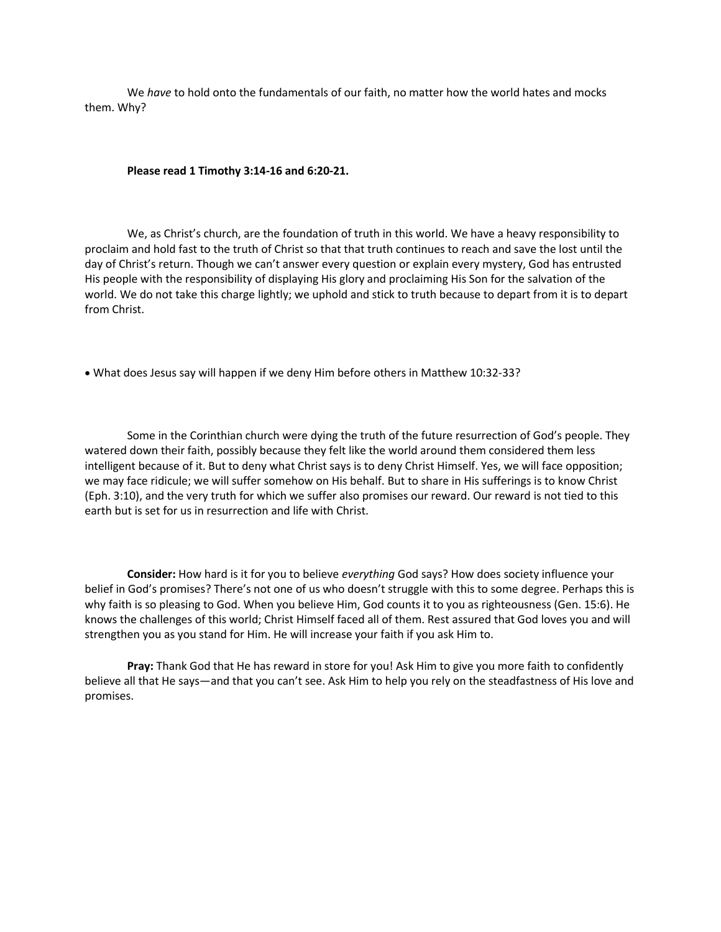We *have* to hold onto the fundamentals of our faith, no matter how the world hates and mocks them. Why?

**Please read 1 Timothy 3:14-16 and 6:20-21.**

We, as Christ's church, are the foundation of truth in this world. We have a heavy responsibility to proclaim and hold fast to the truth of Christ so that that truth continues to reach and save the lost until the day of Christ's return. Though we can't answer every question or explain every mystery, God has entrusted His people with the responsibility of displaying His glory and proclaiming His Son for the salvation of the world. We do not take this charge lightly; we uphold and stick to truth because to depart from it is to depart from Christ.

• What does Jesus say will happen if we deny Him before others in Matthew 10:32-33?

Some in the Corinthian church were dying the truth of the future resurrection of God's people. They watered down their faith, possibly because they felt like the world around them considered them less intelligent because of it. But to deny what Christ says is to deny Christ Himself. Yes, we will face opposition; we may face ridicule; we will suffer somehow on His behalf. But to share in His sufferings is to know Christ (Eph. 3:10), and the very truth for which we suffer also promises our reward. Our reward is not tied to this earth but is set for us in resurrection and life with Christ.

**Consider:** How hard is it for you to believe *everything* God says? How does society influence your belief in God's promises? There's not one of us who doesn't struggle with this to some degree. Perhaps this is why faith is so pleasing to God. When you believe Him, God counts it to you as righteousness (Gen. 15:6). He knows the challenges of this world; Christ Himself faced all of them. Rest assured that God loves you and will strengthen you as you stand for Him. He will increase your faith if you ask Him to.

**Pray:** Thank God that He has reward in store for you! Ask Him to give you more faith to confidently believe all that He says—and that you can't see. Ask Him to help you rely on the steadfastness of His love and promises.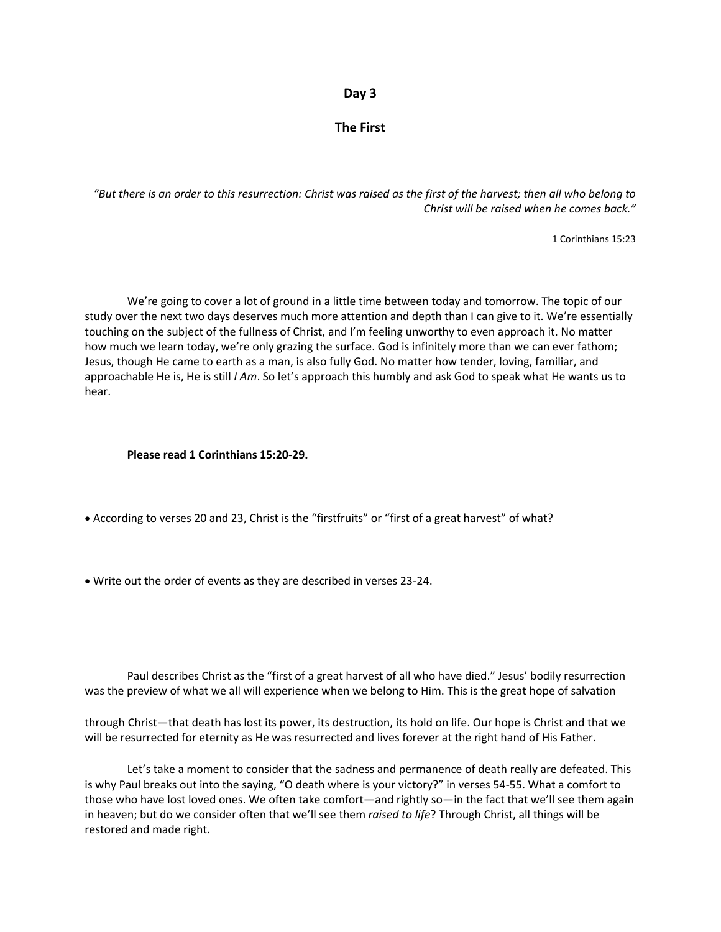#### **Day 3**

#### **The First**

*"But there is an order to this resurrection: Christ was raised as the first of the harvest; then all who belong to Christ will be raised when he comes back."*

1 Corinthians 15:23

We're going to cover a lot of ground in a little time between today and tomorrow. The topic of our study over the next two days deserves much more attention and depth than I can give to it. We're essentially touching on the subject of the fullness of Christ, and I'm feeling unworthy to even approach it. No matter how much we learn today, we're only grazing the surface. God is infinitely more than we can ever fathom; Jesus, though He came to earth as a man, is also fully God. No matter how tender, loving, familiar, and approachable He is, He is still *I Am*. So let's approach this humbly and ask God to speak what He wants us to hear.

#### **Please read 1 Corinthians 15:20-29.**

- According to verses 20 and 23, Christ is the "firstfruits" or "first of a great harvest" of what?
- Write out the order of events as they are described in verses 23-24.

Paul describes Christ as the "first of a great harvest of all who have died." Jesus' bodily resurrection was the preview of what we all will experience when we belong to Him. This is the great hope of salvation

through Christ—that death has lost its power, its destruction, its hold on life. Our hope is Christ and that we will be resurrected for eternity as He was resurrected and lives forever at the right hand of His Father.

Let's take a moment to consider that the sadness and permanence of death really are defeated. This is why Paul breaks out into the saying, "O death where is your victory?" in verses 54-55. What a comfort to those who have lost loved ones. We often take comfort—and rightly so—in the fact that we'll see them again in heaven; but do we consider often that we'll see them *raised to life*? Through Christ, all things will be restored and made right.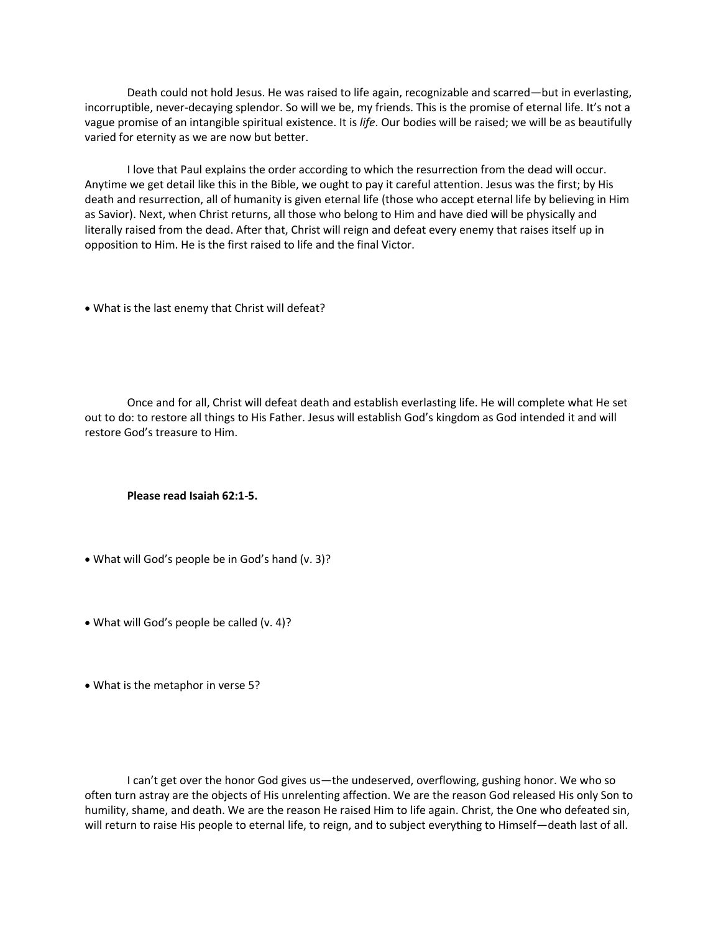Death could not hold Jesus. He was raised to life again, recognizable and scarred—but in everlasting, incorruptible, never-decaying splendor. So will we be, my friends. This is the promise of eternal life. It's not a vague promise of an intangible spiritual existence. It is *life*. Our bodies will be raised; we will be as beautifully varied for eternity as we are now but better.

I love that Paul explains the order according to which the resurrection from the dead will occur. Anytime we get detail like this in the Bible, we ought to pay it careful attention. Jesus was the first; by His death and resurrection, all of humanity is given eternal life (those who accept eternal life by believing in Him as Savior). Next, when Christ returns, all those who belong to Him and have died will be physically and literally raised from the dead. After that, Christ will reign and defeat every enemy that raises itself up in opposition to Him. He is the first raised to life and the final Victor.

• What is the last enemy that Christ will defeat?

Once and for all, Christ will defeat death and establish everlasting life. He will complete what He set out to do: to restore all things to His Father. Jesus will establish God's kingdom as God intended it and will restore God's treasure to Him.

#### **Please read Isaiah 62:1-5.**

- What will God's people be in God's hand (v. 3)?
- What will God's people be called (v. 4)?
- What is the metaphor in verse 5?

I can't get over the honor God gives us—the undeserved, overflowing, gushing honor. We who so often turn astray are the objects of His unrelenting affection. We are the reason God released His only Son to humility, shame, and death. We are the reason He raised Him to life again. Christ, the One who defeated sin, will return to raise His people to eternal life, to reign, and to subject everything to Himself—death last of all.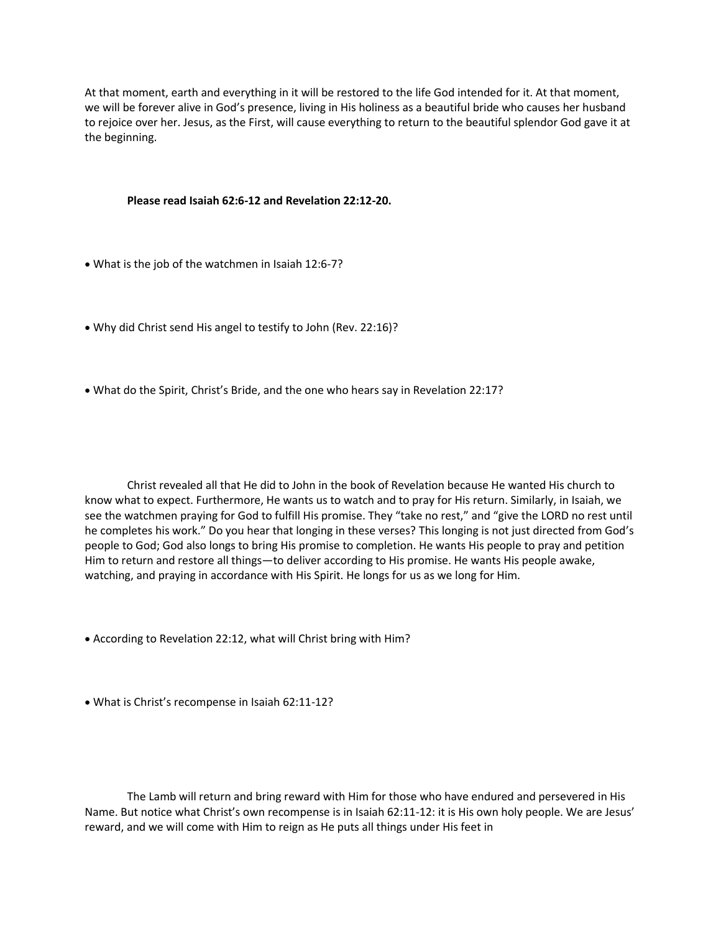At that moment, earth and everything in it will be restored to the life God intended for it. At that moment, we will be forever alive in God's presence, living in His holiness as a beautiful bride who causes her husband to rejoice over her. Jesus, as the First, will cause everything to return to the beautiful splendor God gave it at the beginning.

#### **Please read Isaiah 62:6-12 and Revelation 22:12-20.**

- What is the job of the watchmen in Isaiah 12:6-7?
- Why did Christ send His angel to testify to John (Rev. 22:16)?
- What do the Spirit, Christ's Bride, and the one who hears say in Revelation 22:17?

Christ revealed all that He did to John in the book of Revelation because He wanted His church to know what to expect. Furthermore, He wants us to watch and to pray for His return. Similarly, in Isaiah, we see the watchmen praying for God to fulfill His promise. They "take no rest," and "give the LORD no rest until he completes his work." Do you hear that longing in these verses? This longing is not just directed from God's people to God; God also longs to bring His promise to completion. He wants His people to pray and petition Him to return and restore all things—to deliver according to His promise. He wants His people awake, watching, and praying in accordance with His Spirit. He longs for us as we long for Him.

- According to Revelation 22:12, what will Christ bring with Him?
- What is Christ's recompense in Isaiah 62:11-12?

The Lamb will return and bring reward with Him for those who have endured and persevered in His Name. But notice what Christ's own recompense is in Isaiah 62:11-12: it is His own holy people. We are Jesus' reward, and we will come with Him to reign as He puts all things under His feet in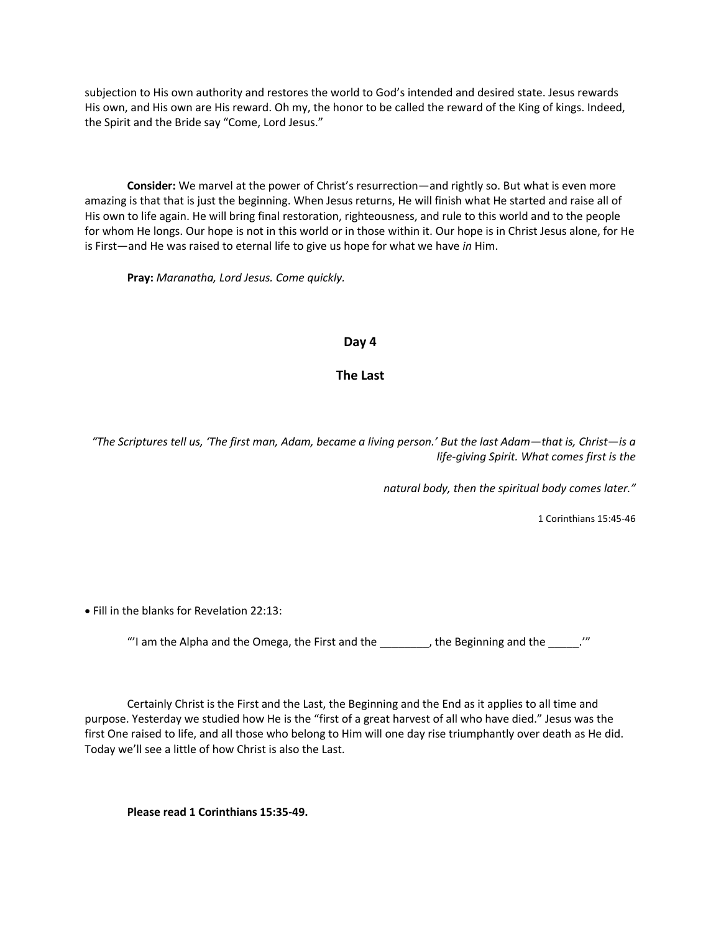subjection to His own authority and restores the world to God's intended and desired state. Jesus rewards His own, and His own are His reward. Oh my, the honor to be called the reward of the King of kings. Indeed, the Spirit and the Bride say "Come, Lord Jesus."

**Consider:** We marvel at the power of Christ's resurrection—and rightly so. But what is even more amazing is that that is just the beginning. When Jesus returns, He will finish what He started and raise all of His own to life again. He will bring final restoration, righteousness, and rule to this world and to the people for whom He longs. Our hope is not in this world or in those within it. Our hope is in Christ Jesus alone, for He is First—and He was raised to eternal life to give us hope for what we have *in* Him.

**Pray:** *Maranatha, Lord Jesus. Come quickly.*

#### **Day 4**

#### **The Last**

*"The Scriptures tell us, 'The first man, Adam, became a living person.' But the last Adam—that is, Christ—is a life-giving Spirit. What comes first is the* 

*natural body, then the spiritual body comes later."*

1 Corinthians 15:45-46

• Fill in the blanks for Revelation 22:13:

"'I am the Alpha and the Omega, the First and the  $\frac{1}{\sqrt{1-\frac{1}{n}}}$ , the Beginning and the  $\frac{1}{\sqrt{1-\frac{1}{n}}}$ ."

Certainly Christ is the First and the Last, the Beginning and the End as it applies to all time and purpose. Yesterday we studied how He is the "first of a great harvest of all who have died." Jesus was the first One raised to life, and all those who belong to Him will one day rise triumphantly over death as He did. Today we'll see a little of how Christ is also the Last.

**Please read 1 Corinthians 15:35-49.**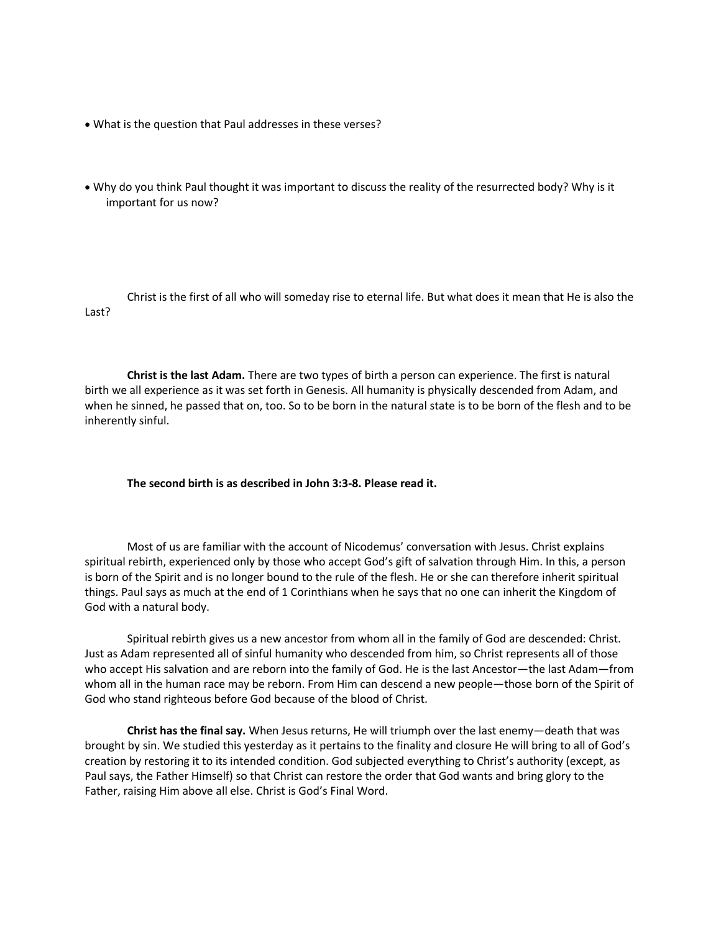- What is the question that Paul addresses in these verses?
- Why do you think Paul thought it was important to discuss the reality of the resurrected body? Why is it important for us now?

Christ is the first of all who will someday rise to eternal life. But what does it mean that He is also the Last?

**Christ is the last Adam.** There are two types of birth a person can experience. The first is natural birth we all experience as it was set forth in Genesis. All humanity is physically descended from Adam, and when he sinned, he passed that on, too. So to be born in the natural state is to be born of the flesh and to be inherently sinful.

#### **The second birth is as described in John 3:3-8. Please read it.**

Most of us are familiar with the account of Nicodemus' conversation with Jesus. Christ explains spiritual rebirth, experienced only by those who accept God's gift of salvation through Him. In this, a person is born of the Spirit and is no longer bound to the rule of the flesh. He or she can therefore inherit spiritual things. Paul says as much at the end of 1 Corinthians when he says that no one can inherit the Kingdom of God with a natural body.

Spiritual rebirth gives us a new ancestor from whom all in the family of God are descended: Christ. Just as Adam represented all of sinful humanity who descended from him, so Christ represents all of those who accept His salvation and are reborn into the family of God. He is the last Ancestor—the last Adam—from whom all in the human race may be reborn. From Him can descend a new people—those born of the Spirit of God who stand righteous before God because of the blood of Christ.

**Christ has the final say.** When Jesus returns, He will triumph over the last enemy—death that was brought by sin. We studied this yesterday as it pertains to the finality and closure He will bring to all of God's creation by restoring it to its intended condition. God subjected everything to Christ's authority (except, as Paul says, the Father Himself) so that Christ can restore the order that God wants and bring glory to the Father, raising Him above all else. Christ is God's Final Word.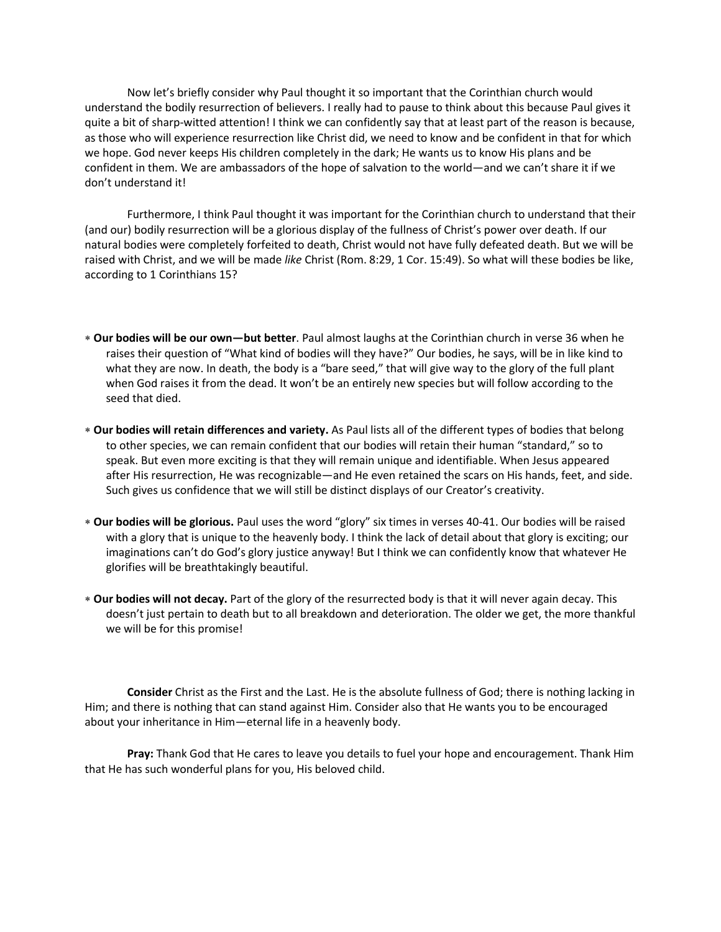Now let's briefly consider why Paul thought it so important that the Corinthian church would understand the bodily resurrection of believers. I really had to pause to think about this because Paul gives it quite a bit of sharp-witted attention! I think we can confidently say that at least part of the reason is because, as those who will experience resurrection like Christ did, we need to know and be confident in that for which we hope. God never keeps His children completely in the dark; He wants us to know His plans and be confident in them. We are ambassadors of the hope of salvation to the world—and we can't share it if we don't understand it!

Furthermore, I think Paul thought it was important for the Corinthian church to understand that their (and our) bodily resurrection will be a glorious display of the fullness of Christ's power over death. If our natural bodies were completely forfeited to death, Christ would not have fully defeated death. But we will be raised with Christ, and we will be made *like* Christ (Rom. 8:29, 1 Cor. 15:49). So what will these bodies be like, according to 1 Corinthians 15?

- **Our bodies will be our own—but better**. Paul almost laughs at the Corinthian church in verse 36 when he raises their question of "What kind of bodies will they have?" Our bodies, he says, will be in like kind to what they are now. In death, the body is a "bare seed," that will give way to the glory of the full plant when God raises it from the dead. It won't be an entirely new species but will follow according to the seed that died.
- **Our bodies will retain differences and variety.** As Paul lists all of the different types of bodies that belong to other species, we can remain confident that our bodies will retain their human "standard," so to speak. But even more exciting is that they will remain unique and identifiable. When Jesus appeared after His resurrection, He was recognizable—and He even retained the scars on His hands, feet, and side. Such gives us confidence that we will still be distinct displays of our Creator's creativity.
- **Our bodies will be glorious.** Paul uses the word "glory" six times in verses 40-41. Our bodies will be raised with a glory that is unique to the heavenly body. I think the lack of detail about that glory is exciting; our imaginations can't do God's glory justice anyway! But I think we can confidently know that whatever He glorifies will be breathtakingly beautiful.
- **Our bodies will not decay.** Part of the glory of the resurrected body is that it will never again decay. This doesn't just pertain to death but to all breakdown and deterioration. The older we get, the more thankful we will be for this promise!

**Consider** Christ as the First and the Last. He is the absolute fullness of God; there is nothing lacking in Him; and there is nothing that can stand against Him. Consider also that He wants you to be encouraged about your inheritance in Him—eternal life in a heavenly body.

**Pray:** Thank God that He cares to leave you details to fuel your hope and encouragement. Thank Him that He has such wonderful plans for you, His beloved child.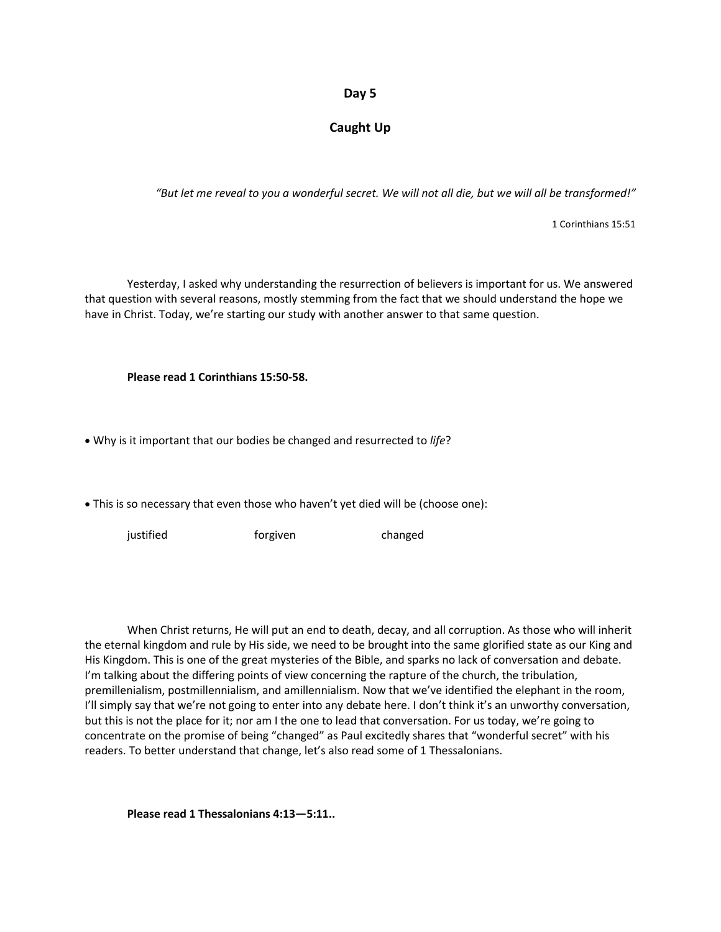#### **Day 5**

#### **Caught Up**

*"But let me reveal to you a wonderful secret. We will not all die, but we will all be transformed!"*

1 Corinthians 15:51

Yesterday, I asked why understanding the resurrection of believers is important for us. We answered that question with several reasons, mostly stemming from the fact that we should understand the hope we have in Christ. Today, we're starting our study with another answer to that same question.

#### **Please read 1 Corinthians 15:50-58.**

• Why is it important that our bodies be changed and resurrected to *life*?

• This is so necessary that even those who haven't yet died will be (choose one):

justified **forgiven** foreix changed

When Christ returns, He will put an end to death, decay, and all corruption. As those who will inherit the eternal kingdom and rule by His side, we need to be brought into the same glorified state as our King and His Kingdom. This is one of the great mysteries of the Bible, and sparks no lack of conversation and debate. I'm talking about the differing points of view concerning the rapture of the church, the tribulation, premillenialism, postmillennialism, and amillennialism. Now that we've identified the elephant in the room, I'll simply say that we're not going to enter into any debate here. I don't think it's an unworthy conversation, but this is not the place for it; nor am I the one to lead that conversation. For us today, we're going to concentrate on the promise of being "changed" as Paul excitedly shares that "wonderful secret" with his readers. To better understand that change, let's also read some of 1 Thessalonians.

**Please read 1 Thessalonians 4:13—5:11..**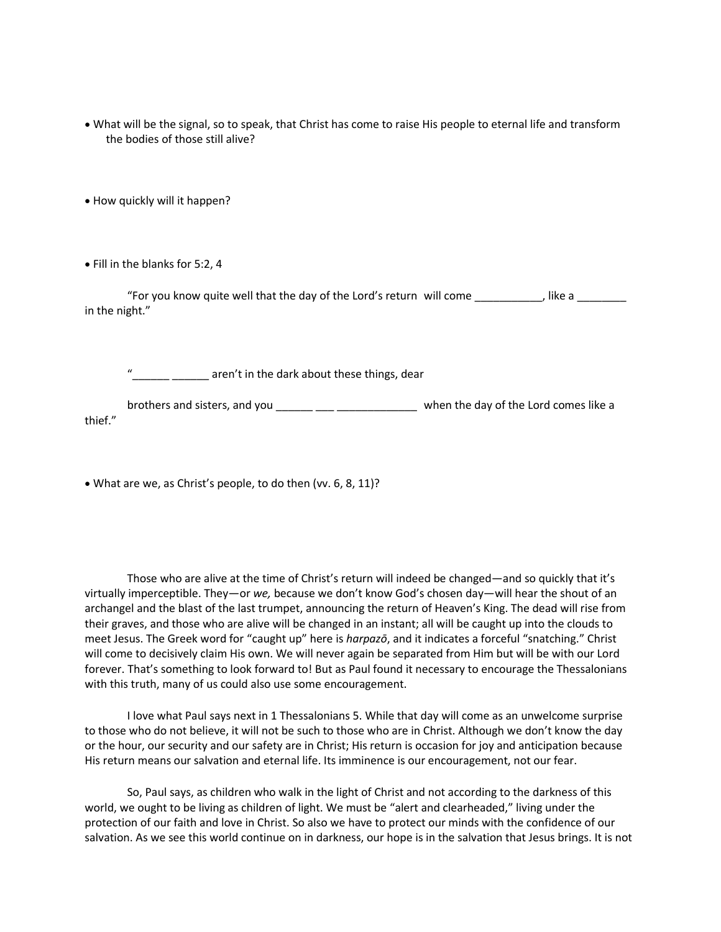• What will be the signal, so to speak, that Christ has come to raise His people to eternal life and transform the bodies of those still alive?

• How quickly will it happen?

• Fill in the blanks for 5:2, 4

"For you know quite well that the day of the Lord's return will come \_\_\_\_\_\_\_\_\_\_, like a \_\_\_\_\_\_\_\_ in the night."

aren't in the dark about these things, dear

brothers and sisters, and you \_\_\_\_\_\_ \_\_\_\_\_\_\_\_\_\_\_\_\_\_\_\_\_\_\_\_\_\_\_ when the day of the Lord comes like a thief."

• What are we, as Christ's people, to do then (vv. 6, 8, 11)?

Those who are alive at the time of Christ's return will indeed be changed—and so quickly that it's virtually imperceptible. They—or *we,* because we don't know God's chosen day—will hear the shout of an archangel and the blast of the last trumpet, announcing the return of Heaven's King. The dead will rise from their graves, and those who are alive will be changed in an instant; all will be caught up into the clouds to meet Jesus. The Greek word for "caught up" here is *harpazō*, and it indicates a forceful "snatching." Christ will come to decisively claim His own. We will never again be separated from Him but will be with our Lord forever. That's something to look forward to! But as Paul found it necessary to encourage the Thessalonians with this truth, many of us could also use some encouragement.

I love what Paul says next in 1 Thessalonians 5. While that day will come as an unwelcome surprise to those who do not believe, it will not be such to those who are in Christ. Although we don't know the day or the hour, our security and our safety are in Christ; His return is occasion for joy and anticipation because His return means our salvation and eternal life. Its imminence is our encouragement, not our fear.

So, Paul says, as children who walk in the light of Christ and not according to the darkness of this world, we ought to be living as children of light. We must be "alert and clearheaded," living under the protection of our faith and love in Christ. So also we have to protect our minds with the confidence of our salvation. As we see this world continue on in darkness, our hope is in the salvation that Jesus brings. It is not